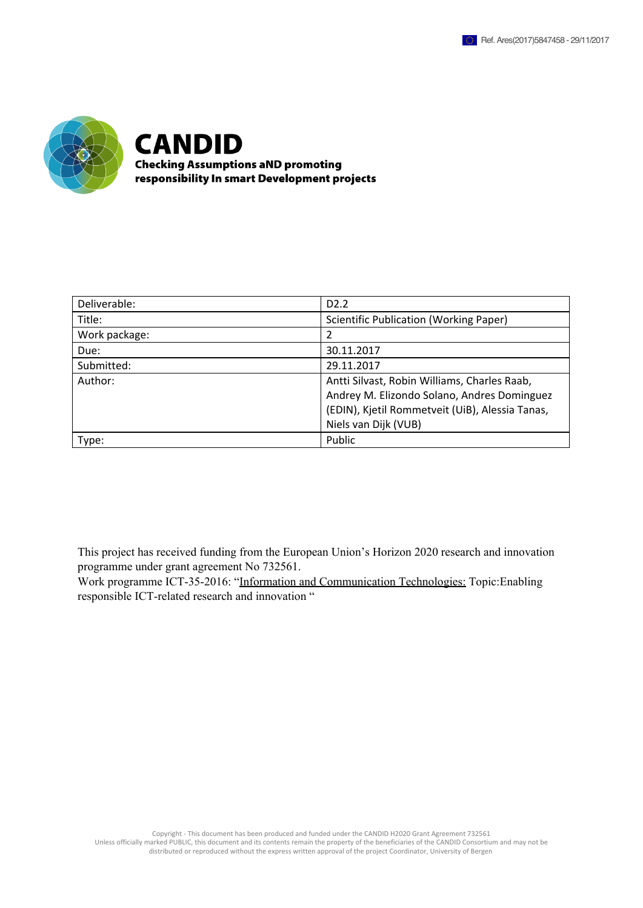

**CANDID Checking Assumptions aND promoting** responsibility In smart Development projects

| Deliverable:  | D <sub>2</sub> .2                                                                                                                                                      |
|---------------|------------------------------------------------------------------------------------------------------------------------------------------------------------------------|
| Title:        | <b>Scientific Publication (Working Paper)</b>                                                                                                                          |
| Work package: |                                                                                                                                                                        |
| Due:          | 30.11.2017                                                                                                                                                             |
| Submitted:    | 29.11.2017                                                                                                                                                             |
| Author:       | Antti Silvast, Robin Williams, Charles Raab,<br>Andrey M. Elizondo Solano, Andres Dominguez<br>(EDIN), Kjetil Rommetveit (UiB), Alessia Tanas,<br>Niels van Dijk (VUB) |
| Type:         | Public                                                                                                                                                                 |

This project has received funding from the European Union's Horizon 2020 research and innovation programme under grant agreement No 732561.

Work programme ICT-35-2016: "Information and [Communication](http://ec.europa.eu/research/participants/data/ref/h2020/wp/2016_2017/main/h2020-wp1617-leit-ict_en.pdf) Technologies: [Topic:Enabling](http://ec.europa.eu/research/participants/data/ref/h2020/wp/2016_2017/main/h2020-wp1617-leit-ict_en.pdf)  responsible [ICT-related](http://ec.europa.eu/research/participants/data/ref/h2020/wp/2016_2017/main/h2020-wp1617-leit-ict_en.pdf) research and innovation "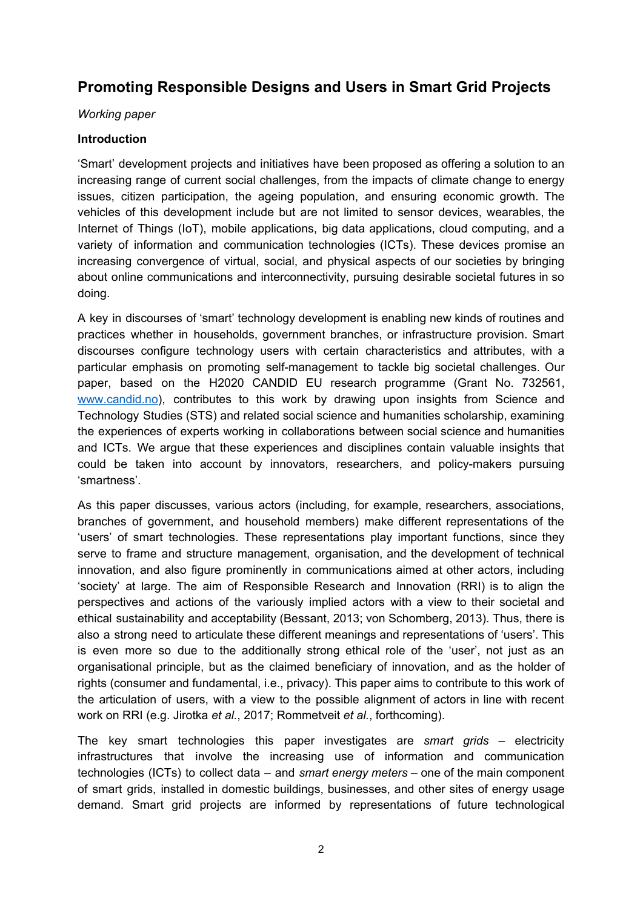# **Promoting Responsible Designs and Users in Smart Grid Projects**

#### *Working paper*

## **Introduction**

'Smart' development projects and initiatives have been proposed as offering a solution to an increasing range of current social challenges, from the impacts of climate change to energy issues, citizen participation, the ageing population, and ensuring economic growth. The vehicles of this development include but are not limited to sensor devices, wearables, the Internet of Things (IoT), mobile applications, big data applications, cloud computing, and a variety of information and communication technologies (ICTs). These devices promise an increasing convergence of virtual, social, and physical aspects of our societies by bringing about online communications and interconnectivity, pursuing desirable societal futures in so doing.

A key in discourses of 'smart' technology development is enabling new kinds of routines and practices whether in households, government branches, or infrastructure provision. Smart discourses configure technology users with certain characteristics and attributes, with a particular emphasis on promoting self-management to tackle big societal challenges. Our paper, based on the H2020 CANDID EU research programme (Grant No. 732561, [www.candid.no](http://www.candid.no/)), contributes to this work by drawing upon insights from Science and Technology Studies (STS) and related social science and humanities scholarship, examining the experiences of experts working in collaborations between social science and humanities and ICTs. We argue that these experiences and disciplines contain valuable insights that could be taken into account by innovators, researchers, and policy-makers pursuing 'smartness'.

As this paper discusses, various actors (including, for example, researchers, associations, branches of government, and household members) make different representations of the 'users' of smart technologies. These representations play important functions, since they serve to frame and structure management, organisation, and the development of technical innovation, and also figure prominently in communications aimed at other actors, including 'society' at large. The aim of Responsible Research and Innovation (RRI) is to align the perspectives and actions of the variously implied actors with a view to their societal and ethical sustainability and acceptability (Bessant, 2013; von Schomberg, 2013). Thus, there is also a strong need to articulate these different meanings and representations of 'users'. This is even more so due to the additionally strong ethical role of the 'user', not just as an organisational principle, but as the claimed beneficiary of innovation, and as the holder of rights (consumer and fundamental, i.e., privacy). This paper aims to contribute to this work of the articulation of users, with a view to the possible alignment of actors in line with recent work on RRI (e.g. Jirotka *et al.*, 2017; Rommetveit *et al.*, forthcoming).

The key smart technologies this paper investigates are *smart grids* – electricity infrastructures that involve the increasing use of information and communication technologies (ICTs) to collect data – and *smart energy meters* – one of the main component of smart grids, installed in domestic buildings, businesses, and other sites of energy usage demand. Smart grid projects are informed by representations of future technological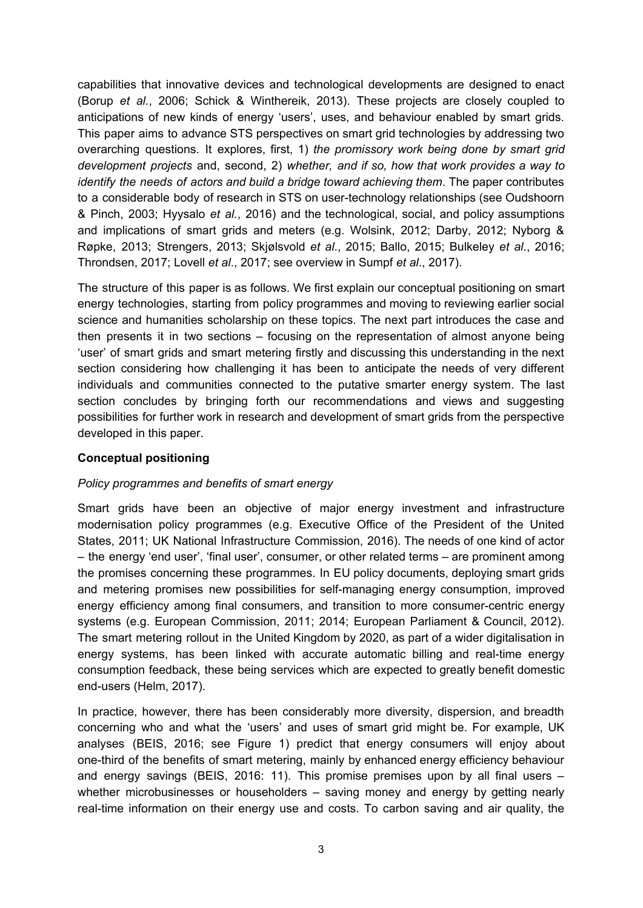capabilities that innovative devices and technological developments are designed to enact (Borup *et al.*, 2006; Schick & Winthereik, 2013). These projects are closely coupled to anticipations of new kinds of energy 'users', uses, and behaviour enabled by smart grids. This paper aims to advance STS perspectives on smart grid technologies by addressing two overarching questions. It explores, first, 1) *the promissory work being done by smart grid development projects* and, second, 2) *whether, and if so, how that work provides a way to identify the needs of actors and build a bridge toward achieving them*. The paper contributes to a considerable body of research in STS on user-technology relationships (see Oudshoorn & Pinch, 2003; Hyysalo *et al.*, 2016) and the technological, social, and policy assumptions and implications of smart grids and meters (e.g. Wolsink, 2012; Darby, 2012; Nyborg & Røpke, 2013; Strengers, 2013; Skjølsvold *et al*., 2015; Ballo, 2015; Bulkeley *et al*., 2016; Throndsen, 2017; Lovell *et al*., 2017; see overview in Sumpf *et al*., 2017).

The structure of this paper is as follows. We first explain our conceptual positioning on smart energy technologies, starting from policy programmes and moving to reviewing earlier social science and humanities scholarship on these topics. The next part introduces the case and then presents it in two sections – focusing on the representation of almost anyone being 'user' of smart grids and smart metering firstly and discussing this understanding in the next section considering how challenging it has been to anticipate the needs of very different individuals and communities connected to the putative smarter energy system. The last section concludes by bringing forth our recommendations and views and suggesting possibilities for further work in research and development of smart grids from the perspective developed in this paper.

## **Conceptual positioning**

#### *Policy programmes and benefits of smart energy*

Smart grids have been an objective of major energy investment and infrastructure modernisation policy programmes (e.g. Executive Office of the President of the United States, 2011; UK National Infrastructure Commission, 2016). The needs of one kind of actor – the energy 'end user', 'final user', consumer, or other related terms – are prominent among the promises concerning these programmes. In EU policy documents, deploying smart grids and metering promises new possibilities for self-managing energy consumption, improved energy efficiency among final consumers, and transition to more consumer-centric energy systems (e.g. European Commission, 2011; 2014; European Parliament & Council, 2012). The smart metering rollout in the United Kingdom by 2020, as part of a wider digitalisation in energy systems, has been linked with accurate automatic billing and real-time energy consumption feedback, these being services which are expected to greatly benefit domestic end-users (Helm, 2017).

In practice, however, there has been considerably more diversity, dispersion, and breadth concerning who and what the 'users' and uses of smart grid might be. For example, UK analyses (BEIS, 2016; see Figure 1) predict that energy consumers will enjoy about one-third of the benefits of smart metering, mainly by enhanced energy efficiency behaviour and energy savings (BEIS, 2016: 11). This promise premises upon by all final users – whether microbusinesses or householders – saving money and energy by getting nearly real-time information on their energy use and costs. To carbon saving and air quality, the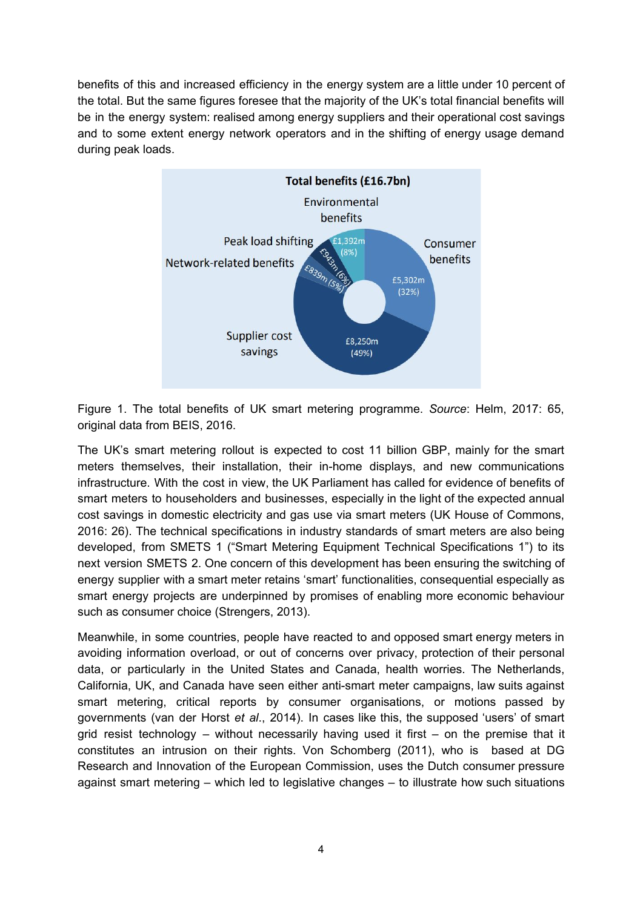benefits of this and increased efficiency in the energy system are a little under 10 percent of the total. But the same figures foresee that the majority of the UK's total financial benefits will be in the energy system: realised among energy suppliers and their operational cost savings and to some extent energy network operators and in the shifting of energy usage demand during peak loads.



Figure 1. The total benefits of UK smart metering programme. *Source*: Helm, 2017: 65, original data from BEIS, 2016.

The UK's smart metering rollout is expected to cost 11 billion GBP, mainly for the smart meters themselves, their installation, their in-home displays, and new communications infrastructure. With the cost in view, the UK Parliament has called for evidence of benefits of smart meters to householders and businesses, especially in the light of the expected annual cost savings in domestic electricity and gas use via smart meters (UK House of Commons, 2016: 26). The technical specifications in industry standards of smart meters are also being developed, from SMETS 1 ("Smart Metering Equipment Technical Specifications 1") to its next version SMETS 2. One concern of this development has been ensuring the switching of energy supplier with a smart meter retains 'smart' functionalities, consequential especially as smart energy projects are underpinned by promises of enabling more economic behaviour such as consumer choice (Strengers, 2013).

Meanwhile, in some countries, people have reacted to and opposed smart energy meters in avoiding information overload, or out of concerns over privacy, protection of their personal data, or particularly in the United States and Canada, health worries. The Netherlands, California, UK, and Canada have seen either anti-smart meter campaigns, law suits against smart metering, critical reports by consumer organisations, or motions passed by governments (van der Horst *et al*., 2014). In cases like this, the supposed 'users' of smart grid resist technology – without necessarily having used it first – on the premise that it constitutes an intrusion on their rights. Von Schomberg (2011), who is based at DG Research and Innovation of the European Commission, uses the Dutch consumer pressure against smart metering – which led to legislative changes – to illustrate how such situations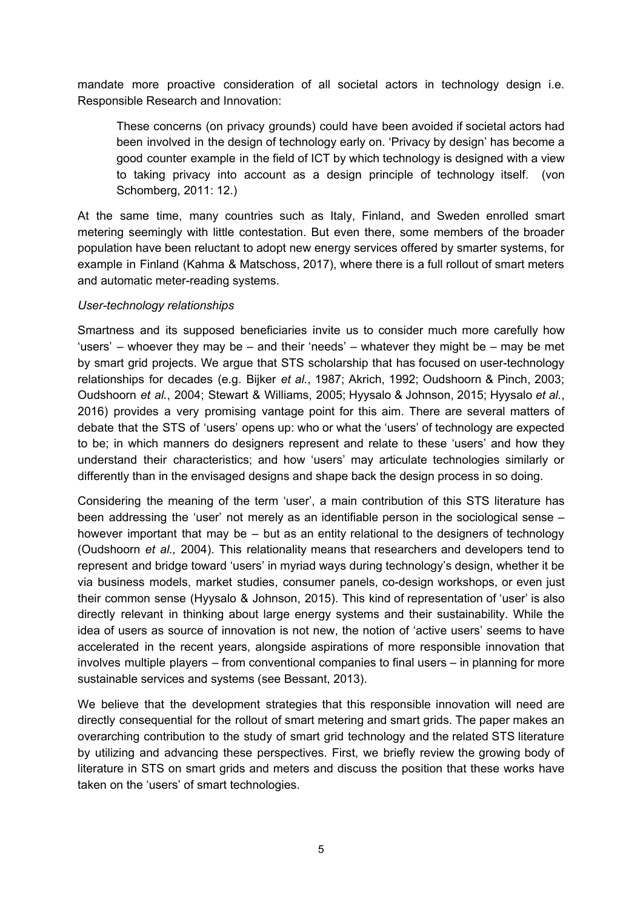mandate more proactive consideration of all societal actors in technology design i.e. Responsible Research and Innovation:

These concerns (on privacy grounds) could have been avoided if societal actors had been involved in the design of technology early on. 'Privacy by design' has become a good counter example in the field of ICT by which technology is designed with a view to taking privacy into account as a design principle of technology itself. (von Schomberg, 2011: 12.)

At the same time, many countries such as Italy, Finland, and Sweden enrolled smart metering seemingly with little contestation. But even there, some members of the broader population have been reluctant to adopt new energy services offered by smarter systems, for example in Finland (Kahma & Matschoss, 2017), where there is a full rollout of smart meters and automatic meter-reading systems.

#### *User-technology relationships*

Smartness and its supposed beneficiaries invite us to consider much more carefully how 'users' – whoever they may be – and their 'needs' – whatever they might be – may be met by smart grid projects. We argue that STS scholarship that has focused on user-technology relationships for decades (e.g. Bijker *et al.*, 1987; Akrich, 1992; Oudshoorn & Pinch, 2003; Oudshoorn *et al.*, 2004; Stewart & Williams, 2005; Hyysalo & Johnson, 2015; Hyysalo *et al.*, 2016) provides a very promising vantage point for this aim. There are several matters of debate that the STS of 'users' opens up: who or what the 'users' of technology are expected to be; in which manners do designers represent and relate to these 'users' and how they understand their characteristics; and how 'users' may articulate technologies similarly or differently than in the envisaged designs and shape back the design process in so doing.

Considering the meaning of the term 'user', a main contribution of this STS literature has been addressing the 'user' not merely as an identifiable person in the sociological sense – however important that may be – but as an entity relational to the designers of technology (Oudshoorn *et al.,* 2004). This relationality means that researchers and developers tend to represent and bridge toward 'users' in myriad ways during technology's design, whether it be via business models, market studies, consumer panels, co-design workshops, or even just their common sense (Hyysalo & Johnson, 2015). This kind of representation of 'user' is also directly relevant in thinking about large energy systems and their sustainability. While the idea of users as source of innovation is not new, the notion of 'active users' seems to have accelerated in the recent years, alongside aspirations of more responsible innovation that involves multiple players – from conventional companies to final users – in planning for more sustainable services and systems (see Bessant, 2013).

We believe that the development strategies that this responsible innovation will need are directly consequential for the rollout of smart metering and smart grids. The paper makes an overarching contribution to the study of smart grid technology and the related STS literature by utilizing and advancing these perspectives. First, we briefly review the growing body of literature in STS on smart grids and meters and discuss the position that these works have taken on the 'users' of smart technologies.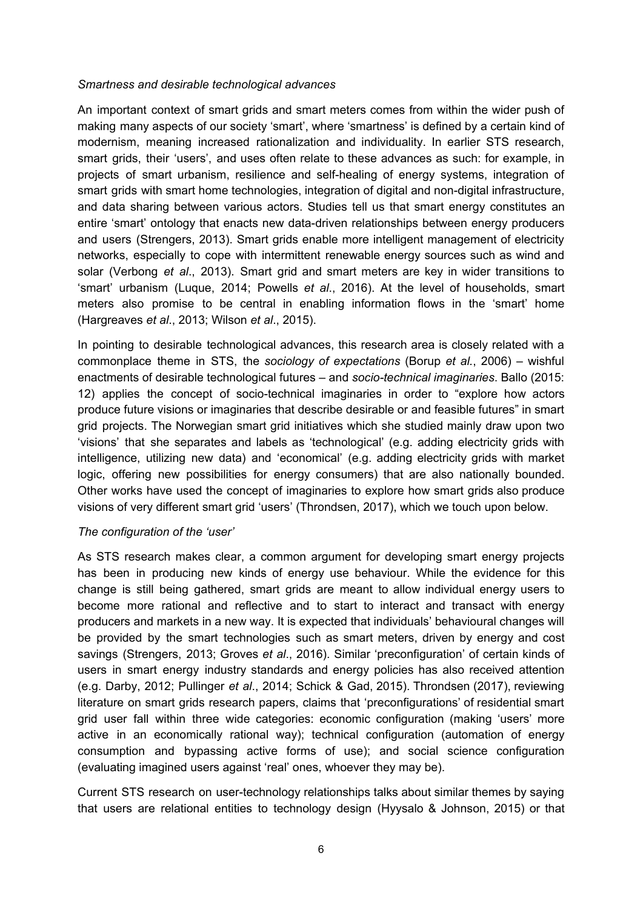#### *Smartness and desirable technological advances*

An important context of smart grids and smart meters comes from within the wider push of making many aspects of our society 'smart', where 'smartness' is defined by a certain kind of modernism, meaning increased rationalization and individuality. In earlier STS research, smart grids, their 'users', and uses often relate to these advances as such: for example, in projects of smart urbanism, resilience and self-healing of energy systems, integration of smart grids with smart home technologies, integration of digital and non-digital infrastructure, and data sharing between various actors. Studies tell us that smart energy constitutes an entire 'smart' ontology that enacts new data-driven relationships between energy producers and users (Strengers, 2013). Smart grids enable more intelligent management of electricity networks, especially to cope with intermittent renewable energy sources such as wind and solar (Verbong *et al*., 2013). Smart grid and smart meters are key in wider transitions to 'smart' urbanism (Luque, 2014; Powells *et al*., 2016). At the level of households, smart meters also promise to be central in enabling information flows in the 'smart' home (Hargreaves *et al*., 2013; Wilson *et al*., 2015).

In pointing to desirable technological advances, this research area is closely related with a commonplace theme in STS, the *sociology of expectations* (Borup *et al.*, 2006) – wishful enactments of desirable technological futures – and *socio-technical imaginaries*. Ballo (2015: 12) applies the concept of socio-technical imaginaries in order to "explore how actors produce future visions or imaginaries that describe desirable or and feasible futures" in smart grid projects. The Norwegian smart grid initiatives which she studied mainly draw upon two 'visions' that she separates and labels as 'technological' (e.g. adding electricity grids with intelligence, utilizing new data) and 'economical' (e.g. adding electricity grids with market logic, offering new possibilities for energy consumers) that are also nationally bounded. Other works have used the concept of imaginaries to explore how smart grids also produce visions of very different smart grid 'users' (Throndsen, 2017), which we touch upon below.

#### *The configuration of the 'user'*

As STS research makes clear, a common argument for developing smart energy projects has been in producing new kinds of energy use behaviour. While the evidence for this change is still being gathered, smart grids are meant to allow individual energy users to become more rational and reflective and to start to interact and transact with energy producers and markets in a new way. It is expected that individuals' behavioural changes will be provided by the smart technologies such as smart meters, driven by energy and cost savings (Strengers, 2013; Groves *et al*., 2016). Similar 'preconfiguration' of certain kinds of users in smart energy industry standards and energy policies has also received attention (e.g. Darby, 2012; Pullinger *et al*., 2014; Schick & Gad, 2015). Throndsen (2017), reviewing literature on smart grids research papers, claims that 'preconfigurations' of residential smart grid user fall within three wide categories: economic configuration (making 'users' more active in an economically rational way); technical configuration (automation of energy consumption and bypassing active forms of use); and social science configuration (evaluating imagined users against 'real' ones, whoever they may be).

Current STS research on user-technology relationships talks about similar themes by saying that users are relational entities to technology design (Hyysalo & Johnson, 2015) or that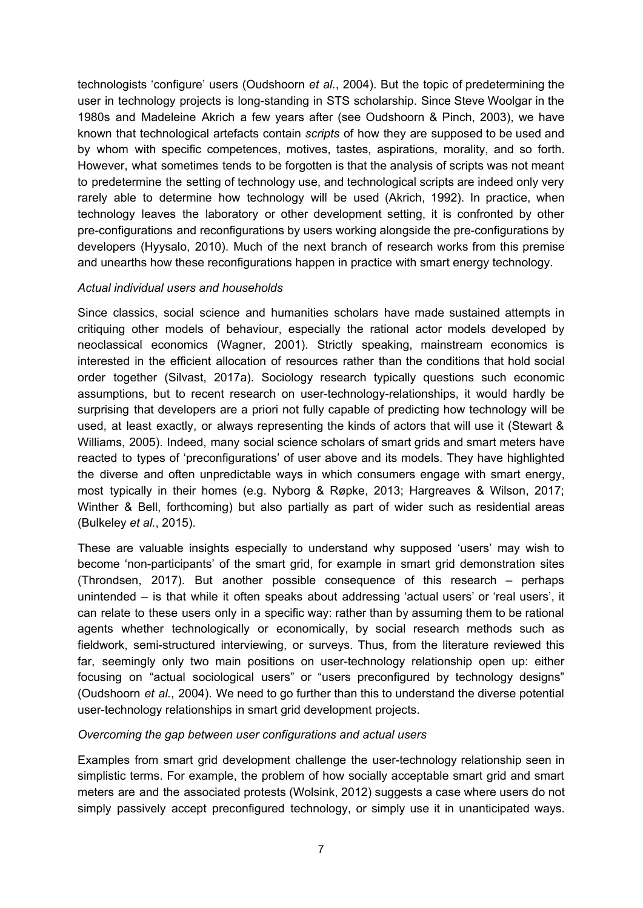technologists 'configure' users (Oudshoorn *et al.*, 2004). But the topic of predetermining the user in technology projects is long-standing in STS scholarship. Since Steve Woolgar in the 1980s and Madeleine Akrich a few years after (see Oudshoorn & Pinch, 2003), we have known that technological artefacts contain *scripts* of how they are supposed to be used and by whom with specific competences, motives, tastes, aspirations, morality, and so forth. However, what sometimes tends to be forgotten is that the analysis of scripts was not meant to predetermine the setting of technology use, and technological scripts are indeed only very rarely able to determine how technology will be used (Akrich, 1992). In practice, when technology leaves the laboratory or other development setting, it is confronted by other pre-configurations and reconfigurations by users working alongside the pre-configurations by developers (Hyysalo, 2010). Much of the next branch of research works from this premise and unearths how these reconfigurations happen in practice with smart energy technology.

#### *Actual individual users and households*

Since classics, social science and humanities scholars have made sustained attempts in critiquing other models of behaviour, especially the rational actor models developed by neoclassical economics (Wagner, 2001). Strictly speaking, mainstream economics is interested in the efficient allocation of resources rather than the conditions that hold social order together (Silvast, 2017a). Sociology research typically questions such economic assumptions, but to recent research on user-technology-relationships, it would hardly be surprising that developers are a priori not fully capable of predicting how technology will be used, at least exactly, or always representing the kinds of actors that will use it (Stewart & Williams, 2005). Indeed, many social science scholars of smart grids and smart meters have reacted to types of 'preconfigurations' of user above and its models. They have highlighted the diverse and often unpredictable ways in which consumers engage with smart energy, most typically in their homes (e.g. Nyborg & Røpke, 2013; Hargreaves & Wilson, 2017; Winther & Bell, forthcoming) but also partially as part of wider such as residential areas (Bulkeley *et al.*, 2015).

These are valuable insights especially to understand why supposed 'users' may wish to become 'non-participants' of the smart grid, for example in smart grid demonstration sites (Throndsen, 2017). But another possible consequence of this research – perhaps unintended – is that while it often speaks about addressing 'actual users' or 'real users', it can relate to these users only in a specific way: rather than by assuming them to be rational agents whether technologically or economically, by social research methods such as fieldwork, semi-structured interviewing, or surveys. Thus, from the literature reviewed this far, seemingly only two main positions on user-technology relationship open up: either focusing on "actual sociological users" or "users preconfigured by technology designs" (Oudshoorn *et al.*, 2004). We need to go further than this to understand the diverse potential user-technology relationships in smart grid development projects.

#### *Overcoming the gap between user configurations and actual users*

Examples from smart grid development challenge the user-technology relationship seen in simplistic terms. For example, the problem of how socially acceptable smart grid and smart meters are and the associated protests (Wolsink, 2012) suggests a case where users do not simply passively accept preconfigured technology, or simply use it in unanticipated ways.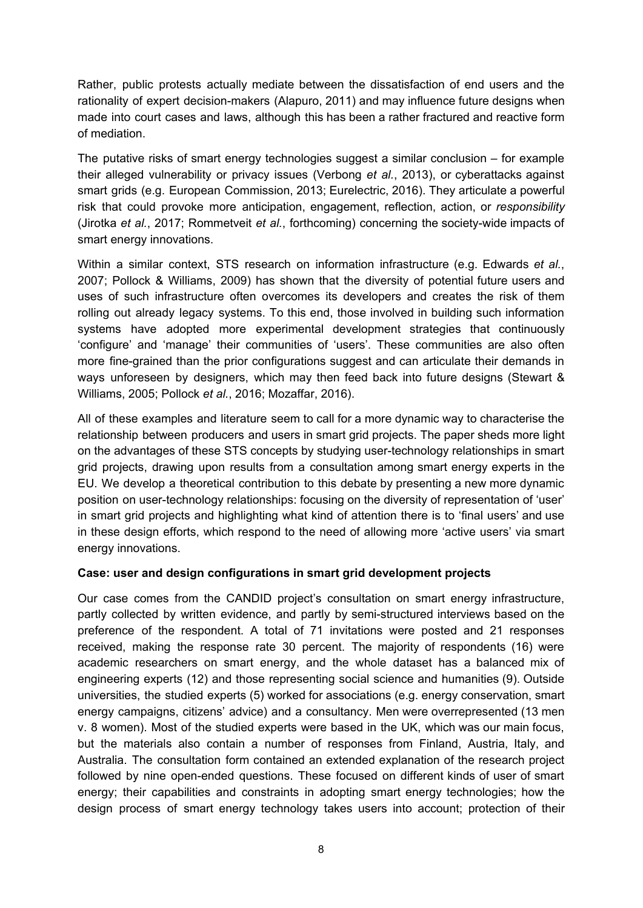Rather, public protests actually mediate between the dissatisfaction of end users and the rationality of expert decision-makers (Alapuro, 2011) and may influence future designs when made into court cases and laws, although this has been a rather fractured and reactive form of mediation.

The putative risks of smart energy technologies suggest a similar conclusion – for example their alleged vulnerability or privacy issues (Verbong *et al.*, 2013), or cyberattacks against smart grids (e.g. European Commission, 2013; Eurelectric, 2016). They articulate a powerful risk that could provoke more anticipation, engagement, reflection, action, or *responsibility* (Jirotka *et al.*, 2017; Rommetveit *et al.*, forthcoming) concerning the society-wide impacts of smart energy innovations.

Within a similar context, STS research on information infrastructure (e.g. Edwards *et al.*, 2007; Pollock & Williams, 2009) has shown that the diversity of potential future users and uses of such infrastructure often overcomes its developers and creates the risk of them rolling out already legacy systems. To this end, those involved in building such information systems have adopted more experimental development strategies that continuously 'configure' and 'manage' their communities of 'users'. These communities are also often more fine-grained than the prior configurations suggest and can articulate their demands in ways unforeseen by designers, which may then feed back into future designs (Stewart & Williams, 2005; Pollock *et al.*, 2016; Mozaffar, 2016).

All of these examples and literature seem to call for a more dynamic way to characterise the relationship between producers and users in smart grid projects. The paper sheds more light on the advantages of these STS concepts by studying user-technology relationships in smart grid projects, drawing upon results from a consultation among smart energy experts in the EU. We develop a theoretical contribution to this debate by presenting a new more dynamic position on user-technology relationships: focusing on the diversity of representation of 'user' in smart grid projects and highlighting what kind of attention there is to 'final users' and use in these design efforts, which respond to the need of allowing more 'active users' via smart energy innovations.

# **Case: user and design configurations in smart grid development projects**

Our case comes from the CANDID project's consultation on smart energy infrastructure, partly collected by written evidence, and partly by semi-structured interviews based on the preference of the respondent. A total of 71 invitations were posted and 21 responses received, making the response rate 30 percent. The majority of respondents (16) were academic researchers on smart energy, and the whole dataset has a balanced mix of engineering experts (12) and those representing social science and humanities (9). Outside universities, the studied experts (5) worked for associations (e.g. energy conservation, smart energy campaigns, citizens' advice) and a consultancy. Men were overrepresented (13 men v. 8 women). Most of the studied experts were based in the UK, which was our main focus, but the materials also contain a number of responses from Finland, Austria, Italy, and Australia. The consultation form contained an extended explanation of the research project followed by nine open-ended questions. These focused on different kinds of user of smart energy; their capabilities and constraints in adopting smart energy technologies; how the design process of smart energy technology takes users into account; protection of their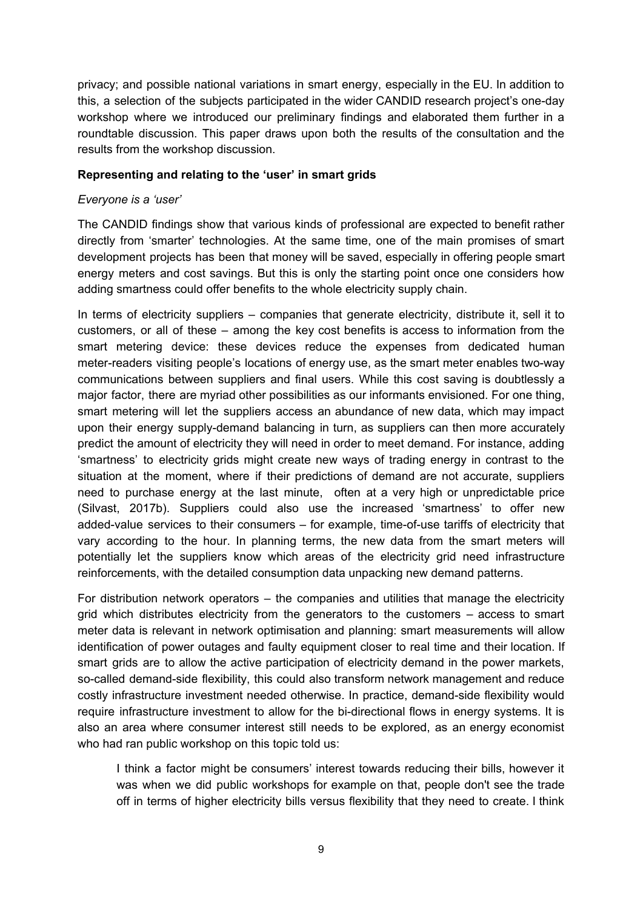privacy; and possible national variations in smart energy, especially in the EU. In addition to this, a selection of the subjects participated in the wider CANDID research project's one-day workshop where we introduced our preliminary findings and elaborated them further in a roundtable discussion. This paper draws upon both the results of the consultation and the results from the workshop discussion.

#### **Representing and relating to the 'user' in smart grids**

#### *Everyone is a 'user'*

The CANDID findings show that various kinds of professional are expected to benefit rather directly from 'smarter' technologies. At the same time, one of the main promises of smart development projects has been that money will be saved, especially in offering people smart energy meters and cost savings. But this is only the starting point once one considers how adding smartness could offer benefits to the whole electricity supply chain.

In terms of electricity suppliers – companies that generate electricity, distribute it, sell it to customers, or all of these – among the key cost benefits is access to information from the smart metering device: these devices reduce the expenses from dedicated human meter-readers visiting people's locations of energy use, as the smart meter enables two-way communications between suppliers and final users. While this cost saving is doubtlessly a major factor, there are myriad other possibilities as our informants envisioned. For one thing, smart metering will let the suppliers access an abundance of new data, which may impact upon their energy supply-demand balancing in turn, as suppliers can then more accurately predict the amount of electricity they will need in order to meet demand. For instance, adding 'smartness' to electricity grids might create new ways of trading energy in contrast to the situation at the moment, where if their predictions of demand are not accurate, suppliers need to purchase energy at the last minute, often at a very high or unpredictable price (Silvast, 2017b). Suppliers could also use the increased 'smartness' to offer new added-value services to their consumers – for example, time-of-use tariffs of electricity that vary according to the hour. In planning terms, the new data from the smart meters will potentially let the suppliers know which areas of the electricity grid need infrastructure reinforcements, with the detailed consumption data unpacking new demand patterns.

For distribution network operators – the companies and utilities that manage the electricity grid which distributes electricity from the generators to the customers – access to smart meter data is relevant in network optimisation and planning: smart measurements will allow identification of power outages and faulty equipment closer to real time and their location. If smart grids are to allow the active participation of electricity demand in the power markets, so-called demand-side flexibility, this could also transform network management and reduce costly infrastructure investment needed otherwise. In practice, demand-side flexibility would require infrastructure investment to allow for the bi-directional flows in energy systems. It is also an area where consumer interest still needs to be explored, as an energy economist who had ran public workshop on this topic told us:

I think a factor might be consumers' interest towards reducing their bills, however it was when we did public workshops for example on that, people don't see the trade off in terms of higher electricity bills versus flexibility that they need to create. I think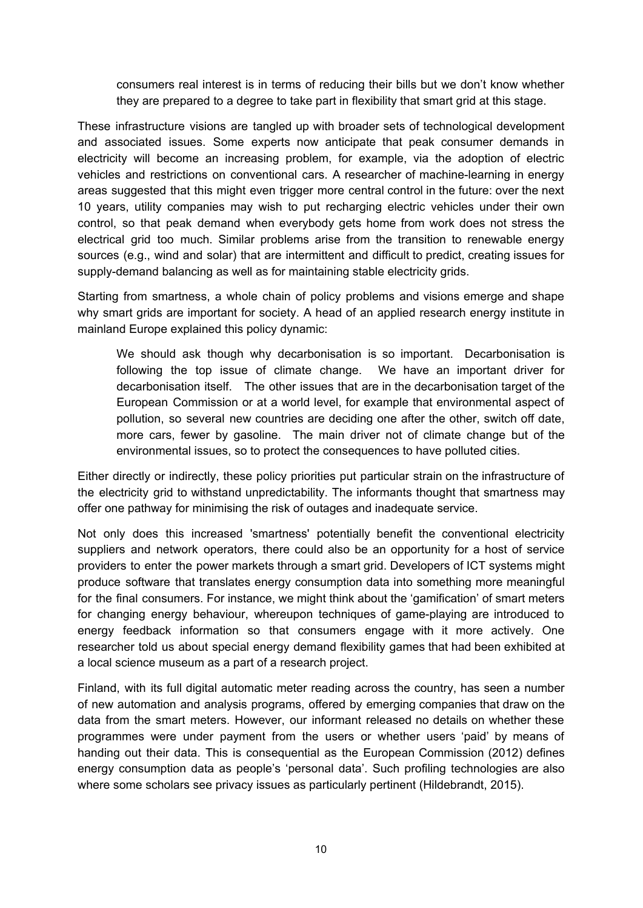consumers real interest is in terms of reducing their bills but we don't know whether they are prepared to a degree to take part in flexibility that smart grid at this stage.

These infrastructure visions are tangled up with broader sets of technological development and associated issues. Some experts now anticipate that peak consumer demands in electricity will become an increasing problem, for example, via the adoption of electric vehicles and restrictions on conventional cars. A researcher of machine-learning in energy areas suggested that this might even trigger more central control in the future: over the next 10 years, utility companies may wish to put recharging electric vehicles under their own control, so that peak demand when everybody gets home from work does not stress the electrical grid too much. Similar problems arise from the transition to renewable energy sources (e.g., wind and solar) that are intermittent and difficult to predict, creating issues for supply-demand balancing as well as for maintaining stable electricity grids.

Starting from smartness, a whole chain of policy problems and visions emerge and shape why smart grids are important for society. A head of an applied research energy institute in mainland Europe explained this policy dynamic:

We should ask though why decarbonisation is so important. Decarbonisation is following the top issue of climate change. We have an important driver for decarbonisation itself. The other issues that are in the decarbonisation target of the European Commission or at a world level, for example that environmental aspect of pollution, so several new countries are deciding one after the other, switch off date, more cars, fewer by gasoline. The main driver not of climate change but of the environmental issues, so to protect the consequences to have polluted cities.

Either directly or indirectly, these policy priorities put particular strain on the infrastructure of the electricity grid to withstand unpredictability. The informants thought that smartness may offer one pathway for minimising the risk of outages and inadequate service.

Not only does this increased 'smartness' potentially benefit the conventional electricity suppliers and network operators, there could also be an opportunity for a host of service providers to enter the power markets through a smart grid. Developers of ICT systems might produce software that translates energy consumption data into something more meaningful for the final consumers. For instance, we might think about the 'gamification' of smart meters for changing energy behaviour, whereupon techniques of game-playing are introduced to energy feedback information so that consumers engage with it more actively. One researcher told us about special energy demand flexibility games that had been exhibited at a local science museum as a part of a research project.

Finland, with its full digital automatic meter reading across the country, has seen a number of new automation and analysis programs, offered by emerging companies that draw on the data from the smart meters. However, our informant released no details on whether these programmes were under payment from the users or whether users 'paid' by means of handing out their data. This is consequential as the European Commission (2012) defines energy consumption data as people's 'personal data'. Such profiling technologies are also where some scholars see privacy issues as particularly pertinent (Hildebrandt, 2015).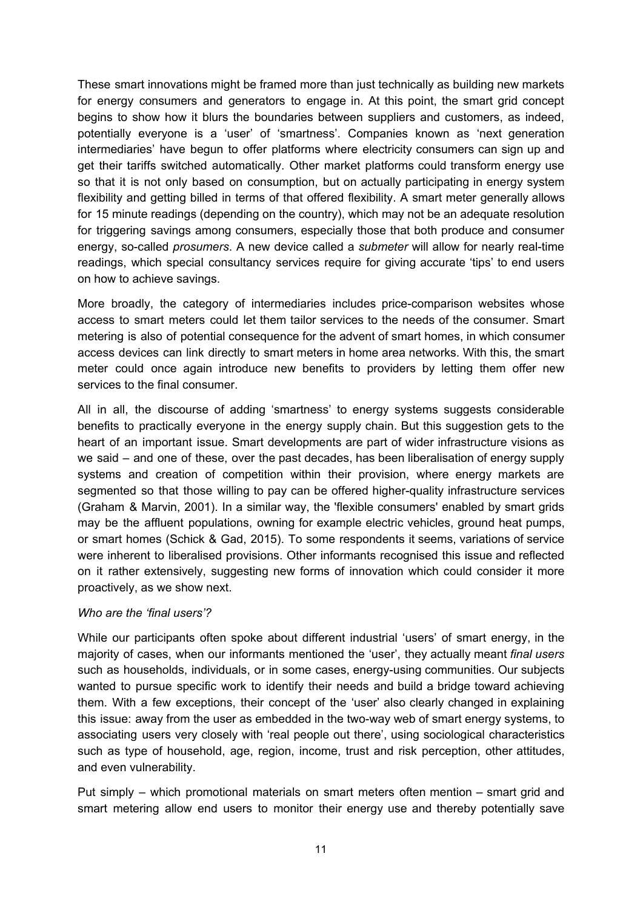These smart innovations might be framed more than just technically as building new markets for energy consumers and generators to engage in. At this point, the smart grid concept begins to show how it blurs the boundaries between suppliers and customers, as indeed, potentially everyone is a 'user' of 'smartness'. Companies known as 'next generation intermediaries' have begun to offer platforms where electricity consumers can sign up and get their tariffs switched automatically. Other market platforms could transform energy use so that it is not only based on consumption, but on actually participating in energy system flexibility and getting billed in terms of that offered flexibility. A smart meter generally allows for 15 minute readings (depending on the country), which may not be an adequate resolution for triggering savings among consumers, especially those that both produce and consumer energy, so-called *prosumers*. A new device called a *submeter* will allow for nearly real-time readings, which special consultancy services require for giving accurate 'tips' to end users on how to achieve savings.

More broadly, the category of intermediaries includes price-comparison websites whose access to smart meters could let them tailor services to the needs of the consumer. Smart metering is also of potential consequence for the advent of smart homes, in which consumer access devices can link directly to smart meters in home area networks. With this, the smart meter could once again introduce new benefits to providers by letting them offer new services to the final consumer.

All in all, the discourse of adding 'smartness' to energy systems suggests considerable benefits to practically everyone in the energy supply chain. But this suggestion gets to the heart of an important issue. Smart developments are part of wider infrastructure visions as we said – and one of these, over the past decades, has been liberalisation of energy supply systems and creation of competition within their provision, where energy markets are segmented so that those willing to pay can be offered higher-quality infrastructure services (Graham & Marvin, 2001). In a similar way, the 'flexible consumers' enabled by smart grids may be the affluent populations, owning for example electric vehicles, ground heat pumps, or smart homes (Schick & Gad, 2015). To some respondents it seems, variations of service were inherent to liberalised provisions. Other informants recognised this issue and reflected on it rather extensively, suggesting new forms of innovation which could consider it more proactively, as we show next.

#### *Who are the 'final users'?*

While our participants often spoke about different industrial 'users' of smart energy, in the majority of cases, when our informants mentioned the 'user', they actually meant *final users* such as households, individuals, or in some cases, energy-using communities. Our subjects wanted to pursue specific work to identify their needs and build a bridge toward achieving them. With a few exceptions, their concept of the 'user' also clearly changed in explaining this issue: away from the user as embedded in the two-way web of smart energy systems, to associating users very closely with 'real people out there', using sociological characteristics such as type of household, age, region, income, trust and risk perception, other attitudes, and even vulnerability.

Put simply – which promotional materials on smart meters often mention – smart grid and smart metering allow end users to monitor their energy use and thereby potentially save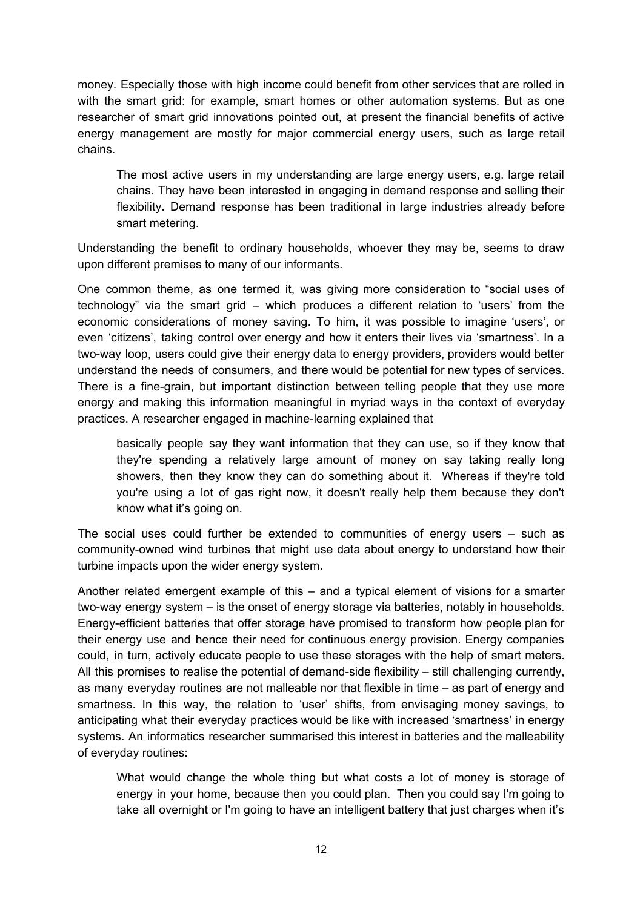money. Especially those with high income could benefit from other services that are rolled in with the smart grid: for example, smart homes or other automation systems. But as one researcher of smart grid innovations pointed out, at present the financial benefits of active energy management are mostly for major commercial energy users, such as large retail chains.

The most active users in my understanding are large energy users, e.g. large retail chains. They have been interested in engaging in demand response and selling their flexibility. Demand response has been traditional in large industries already before smart metering.

Understanding the benefit to ordinary households, whoever they may be, seems to draw upon different premises to many of our informants.

One common theme, as one termed it, was giving more consideration to "social uses of technology" via the smart grid – which produces a different relation to 'users' from the economic considerations of money saving. To him, it was possible to imagine 'users', or even 'citizens', taking control over energy and how it enters their lives via 'smartness'. In a two-way loop, users could give their energy data to energy providers, providers would better understand the needs of consumers, and there would be potential for new types of services. There is a fine-grain, but important distinction between telling people that they use more energy and making this information meaningful in myriad ways in the context of everyday practices. A researcher engaged in machine-learning explained that

basically people say they want information that they can use, so if they know that they're spending a relatively large amount of money on say taking really long showers, then they know they can do something about it. Whereas if they're told you're using a lot of gas right now, it doesn't really help them because they don't know what it's going on.

The social uses could further be extended to communities of energy users – such as community-owned wind turbines that might use data about energy to understand how their turbine impacts upon the wider energy system.

Another related emergent example of this – and a typical element of visions for a smarter two-way energy system – is the onset of energy storage via batteries, notably in households. Energy-efficient batteries that offer storage have promised to transform how people plan for their energy use and hence their need for continuous energy provision. Energy companies could, in turn, actively educate people to use these storages with the help of smart meters. All this promises to realise the potential of demand-side flexibility – still challenging currently, as many everyday routines are not malleable nor that flexible in time – as part of energy and smartness. In this way, the relation to 'user' shifts, from envisaging money savings, to anticipating what their everyday practices would be like with increased 'smartness' in energy systems. An informatics researcher summarised this interest in batteries and the malleability of everyday routines:

What would change the whole thing but what costs a lot of money is storage of energy in your home, because then you could plan. Then you could say I'm going to take all overnight or I'm going to have an intelligent battery that just charges when it's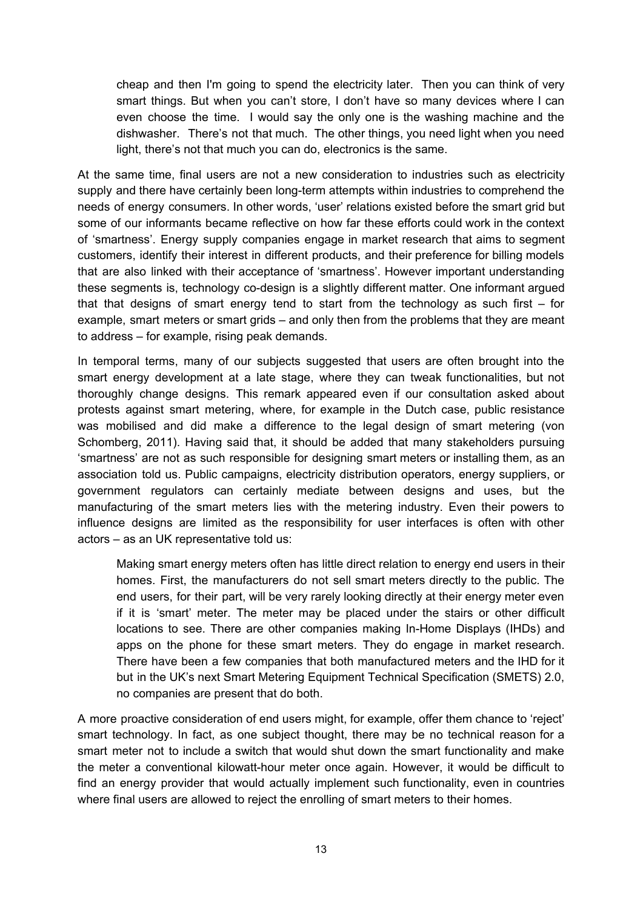cheap and then I'm going to spend the electricity later. Then you can think of very smart things. But when you can't store, I don't have so many devices where I can even choose the time. I would say the only one is the washing machine and the dishwasher. There's not that much. The other things, you need light when you need light, there's not that much you can do, electronics is the same.

At the same time, final users are not a new consideration to industries such as electricity supply and there have certainly been long-term attempts within industries to comprehend the needs of energy consumers. In other words, 'user' relations existed before the smart grid but some of our informants became reflective on how far these efforts could work in the context of 'smartness'. Energy supply companies engage in market research that aims to segment customers, identify their interest in different products, and their preference for billing models that are also linked with their acceptance of 'smartness'. However important understanding these segments is, technology co-design is a slightly different matter. One informant argued that that designs of smart energy tend to start from the technology as such first – for example, smart meters or smart grids – and only then from the problems that they are meant to address – for example, rising peak demands.

In temporal terms, many of our subjects suggested that users are often brought into the smart energy development at a late stage, where they can tweak functionalities, but not thoroughly change designs. This remark appeared even if our consultation asked about protests against smart metering, where, for example in the Dutch case, public resistance was mobilised and did make a difference to the legal design of smart metering (von Schomberg, 2011). Having said that, it should be added that many stakeholders pursuing 'smartness' are not as such responsible for designing smart meters or installing them, as an association told us. Public campaigns, electricity distribution operators, energy suppliers, or government regulators can certainly mediate between designs and uses, but the manufacturing of the smart meters lies with the metering industry. Even their powers to influence designs are limited as the responsibility for user interfaces is often with other actors – as an UK representative told us:

Making smart energy meters often has little direct relation to energy end users in their homes. First, the manufacturers do not sell smart meters directly to the public. The end users, for their part, will be very rarely looking directly at their energy meter even if it is 'smart' meter. The meter may be placed under the stairs or other difficult locations to see. There are other companies making In-Home Displays (IHDs) and apps on the phone for these smart meters. They do engage in market research. There have been a few companies that both manufactured meters and the IHD for it but in the UK's next Smart Metering Equipment Technical Specification (SMETS) 2.0, no companies are present that do both.

A more proactive consideration of end users might, for example, offer them chance to 'reject' smart technology. In fact, as one subject thought, there may be no technical reason for a smart meter not to include a switch that would shut down the smart functionality and make the meter a conventional kilowatt-hour meter once again. However, it would be difficult to find an energy provider that would actually implement such functionality, even in countries where final users are allowed to reject the enrolling of smart meters to their homes.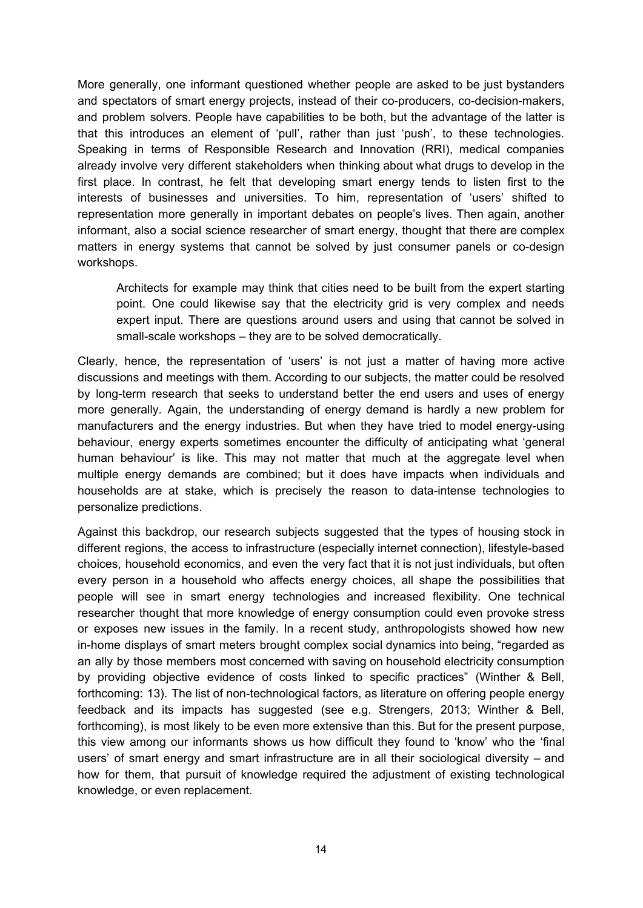More generally, one informant questioned whether people are asked to be just bystanders and spectators of smart energy projects, instead of their co-producers, co-decision-makers, and problem solvers. People have capabilities to be both, but the advantage of the latter is that this introduces an element of 'pull', rather than just 'push', to these technologies. Speaking in terms of Responsible Research and Innovation (RRI), medical companies already involve very different stakeholders when thinking about what drugs to develop in the first place. In contrast, he felt that developing smart energy tends to listen first to the interests of businesses and universities. To him, representation of 'users' shifted to representation more generally in important debates on people's lives. Then again, another informant, also a social science researcher of smart energy, thought that there are complex matters in energy systems that cannot be solved by just consumer panels or co-design workshops.

Architects for example may think that cities need to be built from the expert starting point. One could likewise say that the electricity grid is very complex and needs expert input. There are questions around users and using that cannot be solved in small-scale workshops – they are to be solved democratically.

Clearly, hence, the representation of 'users' is not just a matter of having more active discussions and meetings with them. According to our subjects, the matter could be resolved by long-term research that seeks to understand better the end users and uses of energy more generally. Again, the understanding of energy demand is hardly a new problem for manufacturers and the energy industries. But when they have tried to model energy-using behaviour, energy experts sometimes encounter the difficulty of anticipating what 'general human behaviour' is like. This may not matter that much at the aggregate level when multiple energy demands are combined; but it does have impacts when individuals and households are at stake, which is precisely the reason to data-intense technologies to personalize predictions.

Against this backdrop, our research subjects suggested that the types of housing stock in different regions, the access to infrastructure (especially internet connection), lifestyle-based choices, household economics, and even the very fact that it is not just individuals, but often every person in a household who affects energy choices, all shape the possibilities that people will see in smart energy technologies and increased flexibility. One technical researcher thought that more knowledge of energy consumption could even provoke stress or exposes new issues in the family. In a recent study, anthropologists showed how new in-home displays of smart meters brought complex social dynamics into being, "regarded as an ally by those members most concerned with saving on household electricity consumption by providing objective evidence of costs linked to specific practices" (Winther & Bell, forthcoming: 13). The list of non-technological factors, as literature on offering people energy feedback and its impacts has suggested (see e.g. Strengers, 2013; Winther & Bell, forthcoming), is most likely to be even more extensive than this. But for the present purpose, this view among our informants shows us how difficult they found to 'know' who the 'final users' of smart energy and smart infrastructure are in all their sociological diversity – and how for them, that pursuit of knowledge required the adjustment of existing technological knowledge, or even replacement.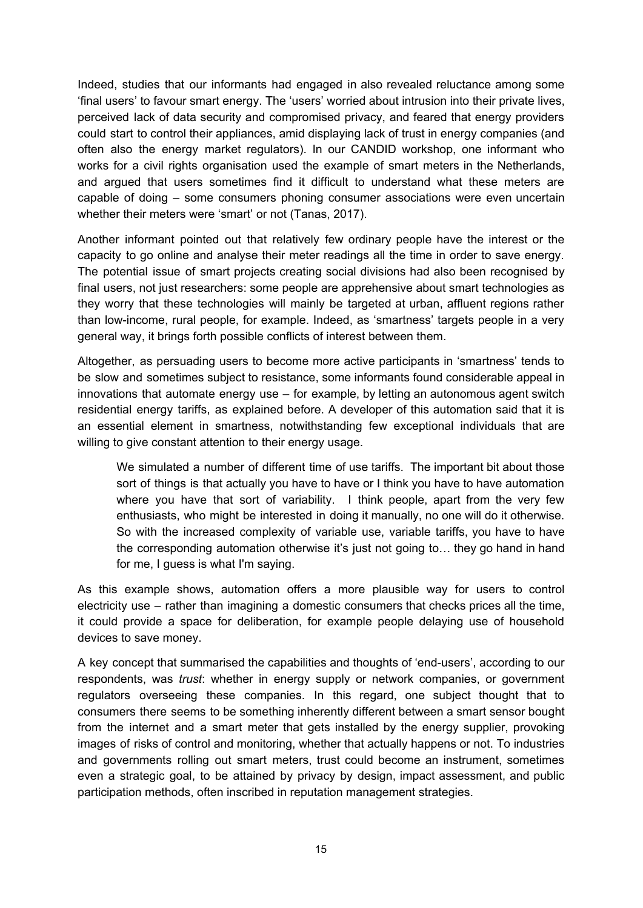Indeed, studies that our informants had engaged in also revealed reluctance among some 'final users' to favour smart energy. The 'users' worried about intrusion into their private lives, perceived lack of data security and compromised privacy, and feared that energy providers could start to control their appliances, amid displaying lack of trust in energy companies (and often also the energy market regulators). In our CANDID workshop, one informant who works for a civil rights organisation used the example of smart meters in the Netherlands, and argued that users sometimes find it difficult to understand what these meters are capable of doing – some consumers phoning consumer associations were even uncertain whether their meters were 'smart' or not (Tanas, 2017).

Another informant pointed out that relatively few ordinary people have the interest or the capacity to go online and analyse their meter readings all the time in order to save energy. The potential issue of smart projects creating social divisions had also been recognised by final users, not just researchers: some people are apprehensive about smart technologies as they worry that these technologies will mainly be targeted at urban, affluent regions rather than low-income, rural people, for example. Indeed, as 'smartness' targets people in a very general way, it brings forth possible conflicts of interest between them.

Altogether, as persuading users to become more active participants in 'smartness' tends to be slow and sometimes subject to resistance, some informants found considerable appeal in innovations that automate energy use – for example, by letting an autonomous agent switch residential energy tariffs, as explained before. A developer of this automation said that it is an essential element in smartness, notwithstanding few exceptional individuals that are willing to give constant attention to their energy usage.

We simulated a number of different time of use tariffs. The important bit about those sort of things is that actually you have to have or I think you have to have automation where you have that sort of variability. I think people, apart from the very few enthusiasts, who might be interested in doing it manually, no one will do it otherwise. So with the increased complexity of variable use, variable tariffs, you have to have the corresponding automation otherwise it's just not going to… they go hand in hand for me, I guess is what I'm saying.

As this example shows, automation offers a more plausible way for users to control electricity use – rather than imagining a domestic consumers that checks prices all the time, it could provide a space for deliberation, for example people delaying use of household devices to save money.

A key concept that summarised the capabilities and thoughts of 'end-users', according to our respondents, was *trust*: whether in energy supply or network companies, or government regulators overseeing these companies. In this regard, one subject thought that to consumers there seems to be something inherently different between a smart sensor bought from the internet and a smart meter that gets installed by the energy supplier, provoking images of risks of control and monitoring, whether that actually happens or not. To industries and governments rolling out smart meters, trust could become an instrument, sometimes even a strategic goal, to be attained by privacy by design, impact assessment, and public participation methods, often inscribed in reputation management strategies.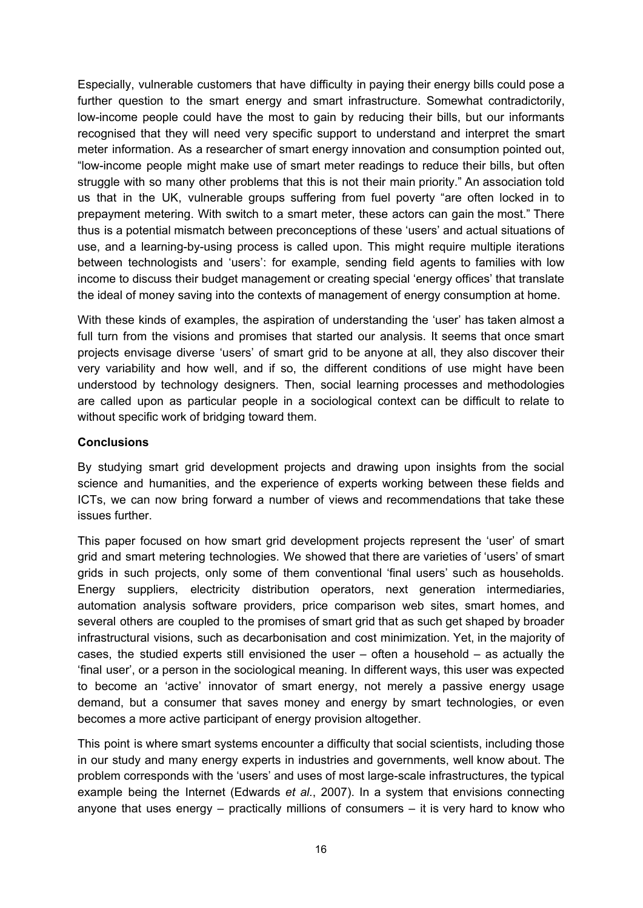Especially, vulnerable customers that have difficulty in paying their energy bills could pose a further question to the smart energy and smart infrastructure. Somewhat contradictorily, low-income people could have the most to gain by reducing their bills, but our informants recognised that they will need very specific support to understand and interpret the smart meter information. As a researcher of smart energy innovation and consumption pointed out, "low-income people might make use of smart meter readings to reduce their bills, but often struggle with so many other problems that this is not their main priority." An association told us that in the UK, vulnerable groups suffering from fuel poverty "are often locked in to prepayment metering. With switch to a smart meter, these actors can gain the most." There thus is a potential mismatch between preconceptions of these 'users' and actual situations of use, and a learning-by-using process is called upon. This might require multiple iterations between technologists and 'users': for example, sending field agents to families with low income to discuss their budget management or creating special 'energy offices' that translate the ideal of money saving into the contexts of management of energy consumption at home.

With these kinds of examples, the aspiration of understanding the 'user' has taken almost a full turn from the visions and promises that started our analysis. It seems that once smart projects envisage diverse 'users' of smart grid to be anyone at all, they also discover their very variability and how well, and if so, the different conditions of use might have been understood by technology designers. Then, social learning processes and methodologies are called upon as particular people in a sociological context can be difficult to relate to without specific work of bridging toward them.

## **Conclusions**

By studying smart grid development projects and drawing upon insights from the social science and humanities, and the experience of experts working between these fields and ICTs, we can now bring forward a number of views and recommendations that take these issues further.

This paper focused on how smart grid development projects represent the 'user' of smart grid and smart metering technologies. We showed that there are varieties of 'users' of smart grids in such projects, only some of them conventional 'final users' such as households. Energy suppliers, electricity distribution operators, next generation intermediaries, automation analysis software providers, price comparison web sites, smart homes, and several others are coupled to the promises of smart grid that as such get shaped by broader infrastructural visions, such as decarbonisation and cost minimization. Yet, in the majority of cases, the studied experts still envisioned the user – often a household – as actually the 'final user', or a person in the sociological meaning. In different ways, this user was expected to become an 'active' innovator of smart energy, not merely a passive energy usage demand, but a consumer that saves money and energy by smart technologies, or even becomes a more active participant of energy provision altogether.

This point is where smart systems encounter a difficulty that social scientists, including those in our study and many energy experts in industries and governments, well know about. The problem corresponds with the 'users' and uses of most large-scale infrastructures, the typical example being the Internet (Edwards *et al.*, 2007). In a system that envisions connecting anyone that uses energy  $-$  practically millions of consumers  $-$  it is very hard to know who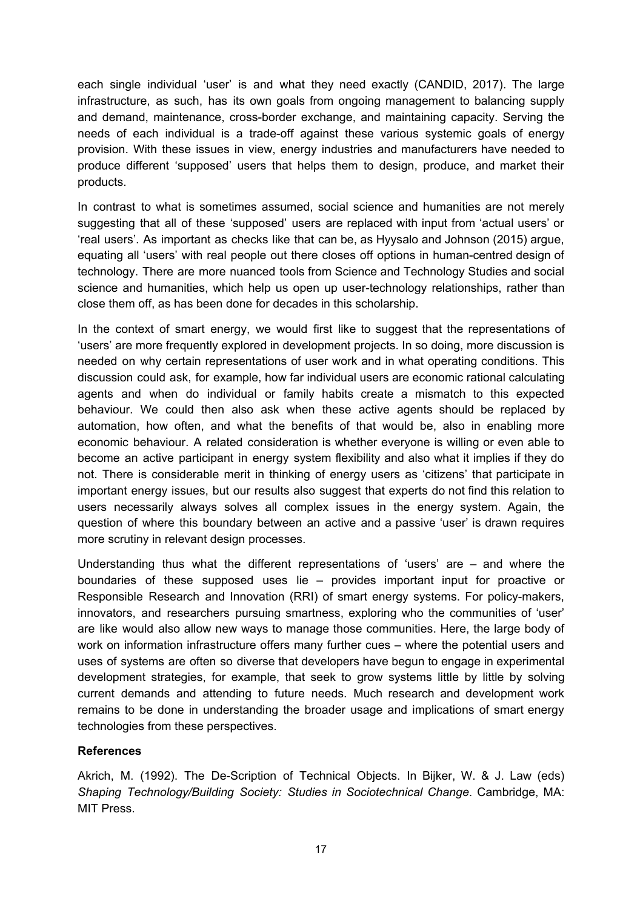each single individual 'user' is and what they need exactly (CANDID, 2017). The large infrastructure, as such, has its own goals from ongoing management to balancing supply and demand, maintenance, cross-border exchange, and maintaining capacity. Serving the needs of each individual is a trade-off against these various systemic goals of energy provision. With these issues in view, energy industries and manufacturers have needed to produce different 'supposed' users that helps them to design, produce, and market their products.

In contrast to what is sometimes assumed, social science and humanities are not merely suggesting that all of these 'supposed' users are replaced with input from 'actual users' or 'real users'. As important as checks like that can be, as Hyysalo and Johnson (2015) argue, equating all 'users' with real people out there closes off options in human-centred design of technology. There are more nuanced tools from Science and Technology Studies and social science and humanities, which help us open up user-technology relationships, rather than close them off, as has been done for decades in this scholarship.

In the context of smart energy, we would first like to suggest that the representations of 'users' are more frequently explored in development projects. In so doing, more discussion is needed on why certain representations of user work and in what operating conditions. This discussion could ask, for example, how far individual users are economic rational calculating agents and when do individual or family habits create a mismatch to this expected behaviour. We could then also ask when these active agents should be replaced by automation, how often, and what the benefits of that would be, also in enabling more economic behaviour. A related consideration is whether everyone is willing or even able to become an active participant in energy system flexibility and also what it implies if they do not. There is considerable merit in thinking of energy users as 'citizens' that participate in important energy issues, but our results also suggest that experts do not find this relation to users necessarily always solves all complex issues in the energy system. Again, the question of where this boundary between an active and a passive 'user' is drawn requires more scrutiny in relevant design processes.

Understanding thus what the different representations of 'users' are – and where the boundaries of these supposed uses lie – provides important input for proactive or Responsible Research and Innovation (RRI) of smart energy systems. For policy-makers, innovators, and researchers pursuing smartness, exploring who the communities of 'user' are like would also allow new ways to manage those communities. Here, the large body of work on information infrastructure offers many further cues – where the potential users and uses of systems are often so diverse that developers have begun to engage in experimental development strategies, for example, that seek to grow systems little by little by solving current demands and attending to future needs. Much research and development work remains to be done in understanding the broader usage and implications of smart energy technologies from these perspectives.

# **References**

Akrich, M. (1992). The De-Scription of Technical Objects. In Bijker, W. & J. Law (eds) *Shaping Technology/Building Society: Studies in Sociotechnical Change*. Cambridge, MA: MIT Press.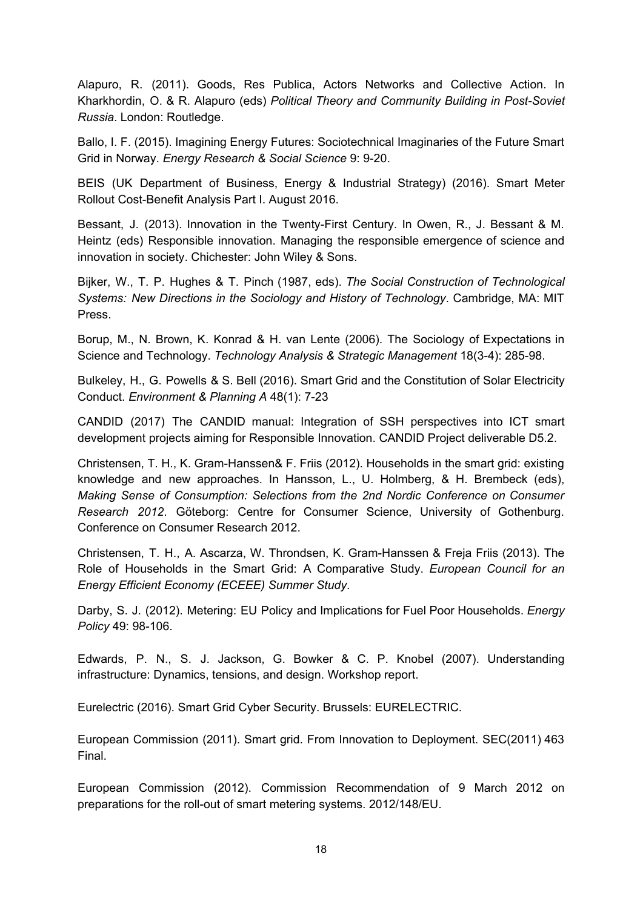Alapuro, R. (2011). Goods, Res Publica, Actors Networks and Collective Action. In Kharkhordin, O. & R. Alapuro (eds) *Political Theory and Community Building in Post-Soviet Russia*. London: Routledge.

Ballo, I. F. (2015). Imagining Energy Futures: Sociotechnical Imaginaries of the Future Smart Grid in Norway. *Energy Research & Social Science* 9: 9-20.

BEIS (UK Department of Business, Energy & Industrial Strategy) (2016). Smart Meter Rollout Cost-Benefit Analysis Part I. August 2016.

Bessant, J. (2013). Innovation in the Twenty-First Century. In Owen, R., J. Bessant & M. Heintz (eds) Responsible innovation. Managing the responsible emergence of science and innovation in society. Chichester: John Wiley & Sons.

Bijker, W., T. P. Hughes & T. Pinch (1987, eds). *The Social Construction of Technological Systems: New Directions in the Sociology and History of Technology*. Cambridge, MA: MIT Press.

Borup, M., N. Brown, K. Konrad & H. van Lente (2006). The Sociology of Expectations in Science and Technology. *Technology Analysis & Strategic Management* 18(3-4): 285-98.

Bulkeley, H., G. Powells & S. Bell (2016). Smart Grid and the Constitution of Solar Electricity Conduct. *Environment & Planning A* 48(1): 7-23

CANDID (2017) The CANDID manual: Integration of SSH perspectives into ICT smart development projects aiming for Responsible Innovation. CANDID Project deliverable D5.2.

Christensen, T. H., K. Gram-Hanssen& F. Friis (2012). Households in the smart grid: existing knowledge and new approaches. In Hansson, L., U. Holmberg, & H. Brembeck (eds), *Making Sense of Consumption: Selections from the 2nd Nordic Conference on Consumer Research 2012*. Göteborg: Centre for Consumer Science, University of Gothenburg. Conference on Consumer Research 2012.

Christensen, T. H., A. Ascarza, W. Throndsen, K. Gram-Hanssen & Freja Friis (2013). The Role of Households in the Smart Grid: A Comparative Study. *European Council for an Energy Efficient Economy (ECEEE) Summer Study*.

Darby, S. J. (2012). Metering: EU Policy and Implications for Fuel Poor Households. *Energy Policy* 49: 98-106.

Edwards, P. N., S. J. Jackson, G. Bowker & C. P. Knobel (2007). Understanding infrastructure: Dynamics, tensions, and design. Workshop report.

Eurelectric (2016). Smart Grid Cyber Security. Brussels: EURELECTRIC.

European Commission (2011). Smart grid. From Innovation to Deployment. SEC(2011) 463 Final.

European Commission (2012). Commission Recommendation of 9 March 2012 on preparations for the roll-out of smart metering systems. 2012/148/EU.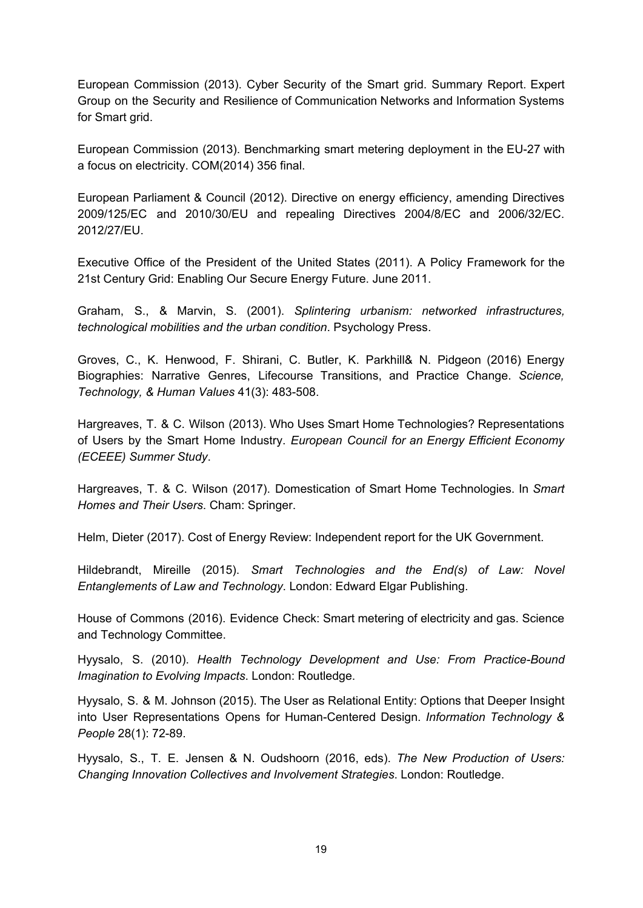European Commission (2013). Cyber Security of the Smart grid. Summary Report. Expert Group on the Security and Resilience of Communication Networks and Information Systems for Smart grid.

European Commission (2013). Benchmarking smart metering deployment in the EU-27 with a focus on electricity. COM(2014) 356 final.

European Parliament & Council (2012). Directive on energy efficiency, amending Directives 2009/125/EC and 2010/30/EU and repealing Directives 2004/8/EC and 2006/32/EC. 2012/27/EU.

Executive Office of the President of the United States (2011). A Policy Framework for the 21st Century Grid: Enabling Our Secure Energy Future. June 2011.

Graham, S., & Marvin, S. (2001). *Splintering urbanism: networked infrastructures, technological mobilities and the urban condition*. Psychology Press.

Groves, C., K. Henwood, F. Shirani, C. Butler, K. Parkhill& N. Pidgeon (2016) Energy Biographies: Narrative Genres, Lifecourse Transitions, and Practice Change. *Science, Technology, & Human Values* 41(3): 483-508.

Hargreaves, T. & C. Wilson (2013). Who Uses Smart Home Technologies? Representations of Users by the Smart Home Industry. *European Council for an Energy Efficient Economy (ECEEE) Summer Study*.

Hargreaves, T. & C. Wilson (2017). Domestication of Smart Home Technologies. In *Smart Homes and Their Users*. Cham: Springer.

Helm, Dieter (2017). Cost of Energy Review: Independent report for the UK Government.

Hildebrandt, Mireille (2015). *Smart Technologies and the End(s) of Law: Novel Entanglements of Law and Technology*. London: Edward Elgar Publishing.

House of Commons (2016). Evidence Check: Smart metering of electricity and gas. Science and Technology Committee.

Hyysalo, S. (2010). *Health Technology Development and Use: From Practice-Bound Imagination to Evolving Impacts*. London: Routledge.

Hyysalo, S. & M. Johnson (2015). The User as Relational Entity: Options that Deeper Insight into User Representations Opens for Human-Centered Design. *Information Technology & People* 28(1): 72-89.

Hyysalo, S., T. E. Jensen & N. Oudshoorn (2016, eds). *The New Production of Users: Changing Innovation Collectives and Involvement Strategies*. London: Routledge.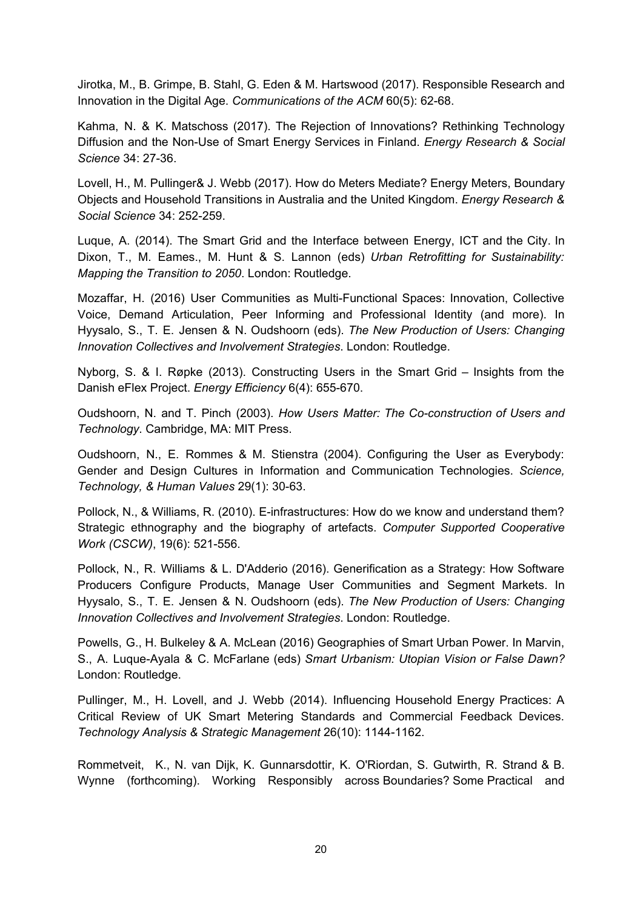Jirotka, M., B. Grimpe, B. Stahl, G. Eden & M. Hartswood (2017). Responsible Research and Innovation in the Digital Age. *Communications of the ACM* 60(5): 62-68.

Kahma, N. & K. Matschoss (2017). The Rejection of Innovations? Rethinking Technology Diffusion and the Non-Use of Smart Energy Services in Finland. *Energy Research & Social Science* 34: 27-36.

Lovell, H., M. Pullinger& J. Webb (2017). How do Meters Mediate? Energy Meters, Boundary Objects and Household Transitions in Australia and the United Kingdom. *Energy Research & Social Science* 34: 252-259.

Luque, A. (2014). The Smart Grid and the Interface between Energy, ICT and the City. In Dixon, T., M. Eames., M. Hunt & S. Lannon (eds) *Urban Retrofitting for Sustainability: Mapping the Transition to 2050*. London: Routledge.

Mozaffar, H. (2016) User Communities as Multi-Functional Spaces: Innovation, Collective Voice, Demand Articulation, Peer Informing and Professional Identity (and more). In Hyysalo, S., T. E. Jensen & N. Oudshoorn (eds). *The New Production of Users: Changing Innovation Collectives and Involvement Strategies*. London: Routledge.

Nyborg, S. & I. Røpke (2013). Constructing Users in the Smart Grid – Insights from the Danish eFlex Project. *Energy Efficiency* 6(4): 655-670.

Oudshoorn, N. and T. Pinch (2003). *How Users Matter: The Co-construction of Users and Technology*. Cambridge, MA: MIT Press.

Oudshoorn, N., E. Rommes & M. Stienstra (2004). Configuring the User as Everybody: Gender and Design Cultures in Information and Communication Technologies. *Science, Technology, & Human Values* 29(1): 30-63.

Pollock, N., & Williams, R. (2010). E-infrastructures: How do we know and understand them? Strategic ethnography and the biography of artefacts. *Computer Supported Cooperative Work (CSCW)*, 19(6): 521-556.

Pollock, N., R. Williams & L. D'Adderio (2016). Generification as a Strategy: How Software Producers Configure Products, Manage User Communities and Segment Markets. In Hyysalo, S., T. E. Jensen & N. Oudshoorn (eds). *The New Production of Users: Changing Innovation Collectives and Involvement Strategies*. London: Routledge.

Powells, G., H. Bulkeley & A. McLean (2016) Geographies of Smart Urban Power. In Marvin, S., A. Luque-Ayala & C. McFarlane (eds) *Smart Urbanism: Utopian Vision or False Dawn?* London: Routledge.

Pullinger, M., H. Lovell, and J. Webb (2014). Influencing Household Energy Practices: A Critical Review of UK Smart Metering Standards and Commercial Feedback Devices. *Technology Analysis & Strategic Management* 26(10): 1144-1162.

Rommetveit, K., N. van Dijk, K. Gunnarsdottir, K. O'Riordan, S. Gutwirth, R. Strand & B. Wynne (forthcoming). Working Responsibly across Boundaries? Some Practical and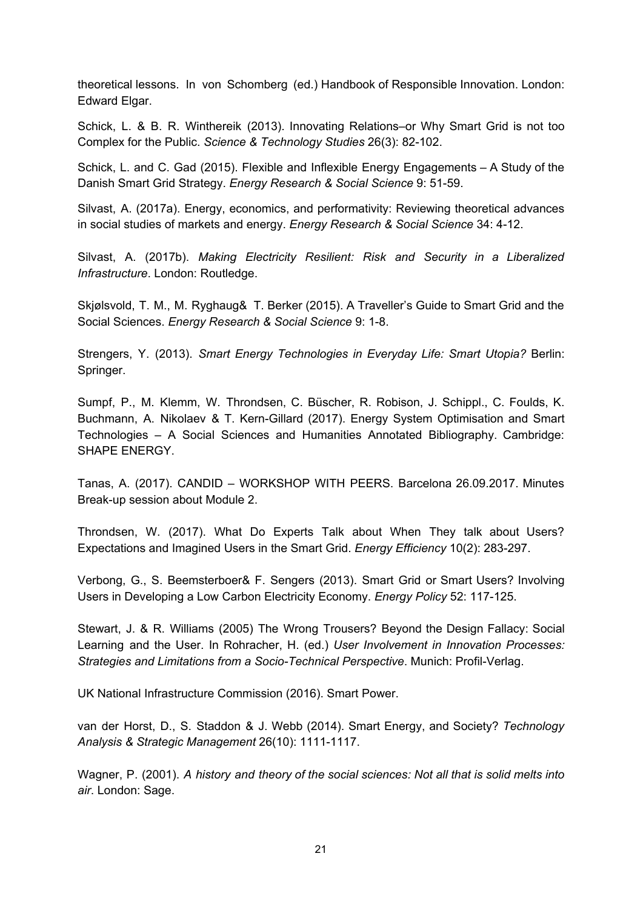theoretical lessons. In von Schomberg (ed.) Handbook of Responsible Innovation. London: Edward Elgar.

Schick, L. & B. R. Winthereik (2013). Innovating Relations–or Why Smart Grid is not too Complex for the Public. *Science & Technology Studies* 26(3): 82-102.

Schick, L. and C. Gad (2015). Flexible and Inflexible Energy Engagements – A Study of the Danish Smart Grid Strategy. *Energy Research & Social Science* 9: 51-59.

Silvast, A. (2017a). Energy, economics, and performativity: Reviewing theoretical advances in social studies of markets and energy. *Energy Research & Social Science* 34: 4-12.

Silvast, A. (2017b). *Making Electricity Resilient: Risk and Security in a Liberalized Infrastructure*. London: Routledge.

Skjølsvold, T. M., M. Ryghaug& T. Berker (2015). A Traveller's Guide to Smart Grid and the Social Sciences. *Energy Research & Social Science* 9: 1-8.

Strengers, Y. (2013). *Smart Energy Technologies in Everyday Life: Smart Utopia?* Berlin: Springer.

Sumpf, P., M. Klemm, W. Throndsen, C. Büscher, R. Robison, J. Schippl., C. Foulds, K. Buchmann, A. Nikolaev & T. Kern-Gillard (2017). Energy System Optimisation and Smart Technologies – A Social Sciences and Humanities Annotated Bibliography. Cambridge: SHAPE ENERGY.

Tanas, A. (2017). CANDID – WORKSHOP WITH PEERS. Barcelona 26.09.2017. Minutes Break-up session about Module 2.

Throndsen, W. (2017). What Do Experts Talk about When They talk about Users? Expectations and Imagined Users in the Smart Grid. *Energy Efficiency* 10(2): 283-297.

Verbong, G., S. Beemsterboer& F. Sengers (2013). Smart Grid or Smart Users? Involving Users in Developing a Low Carbon Electricity Economy. *Energy Policy* 52: 117-125.

Stewart, J. & R. Williams (2005) The Wrong Trousers? Beyond the Design Fallacy: Social Learning and the User. In Rohracher, H. (ed.) *User Involvement in Innovation Processes: Strategies and Limitations from a Socio-Technical Perspective*. Munich: Profil-Verlag.

UK National Infrastructure Commission (2016). Smart Power.

van der Horst, D., S. Staddon & J. Webb (2014). Smart Energy, and Society? *Technology Analysis & Strategic Management* 26(10): 1111-1117.

Wagner, P. (2001). *A history and theory of the social sciences: Not all that is solid melts into air*. London: Sage.